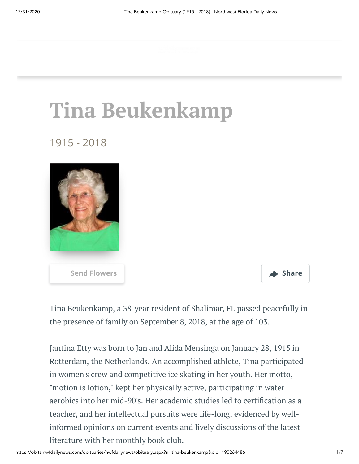# **Tina Beukenkamp**

1915 - 2018





Tina Beukenkamp, a 38-year resident of Shalimar, FL passed peacefully in the presence of family on September 8, 2018, at the age of 103.

Jantina Etty was born to Jan and Alida Mensinga on January 28, 1915 in Rotterdam, the Netherlands. An accomplished athlete, Tina participated in women's crew and competitive ice skating in her youth. Her motto, "motion is lotion," kept her physically active, participating in water aerobics into her mid-90's. Her academic studies led to certification as a teacher, and her intellectual pursuits were life-long, evidenced by wellinformed opinions on current events and lively discussions of the latest literature with her monthly book club.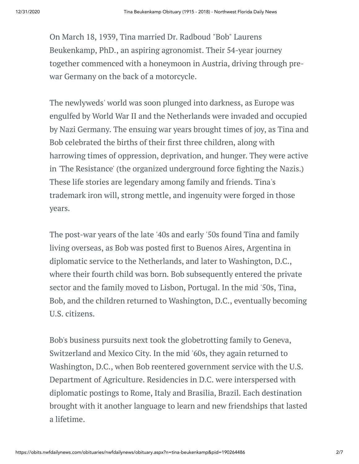On March 18, 1939, Tina married Dr. Radboud "Bob" Laurens Beukenkamp, PhD., an aspiring agronomist. Their 54-year journey together commenced with a honeymoon in Austria, driving through prewar Germany on the back of a motorcycle.

The newlyweds' world was soon plunged into darkness, as Europe was engulfed by World War II and the Netherlands were invaded and occupied by Nazi Germany. The ensuing war years brought times of joy, as Tina and Bob celebrated the births of their first three children, along with harrowing times of oppression, deprivation, and hunger. They were active in 'The Resistance' (the organized underground force fighting the Nazis.) These life stories are legendary among family and friends. Tina's trademark iron will, strong mettle, and ingenuity were forged in those years.

The post-war years of the late '40s and early '50s found Tina and family living overseas, as Bob was posted first to Buenos Aires, Argentina in diplomatic service to the Netherlands, and later to Washington, D.C., where their fourth child was born. Bob subsequently entered the private sector and the family moved to Lisbon, Portugal. In the mid '50s, Tina, Bob, and the children returned to Washington, D.C., eventually becoming U.S. citizens.

Bob's business pursuits next took the globetrotting family to Geneva, Switzerland and Mexico City. In the mid '60s, they again returned to Washington, D.C., when Bob reentered government service with the U.S. Department of Agriculture. Residencies in D.C. were interspersed with diplomatic postings to Rome, Italy and Brasilia, Brazil. Each destination brought with it another language to learn and new friendships that lasted a lifetime.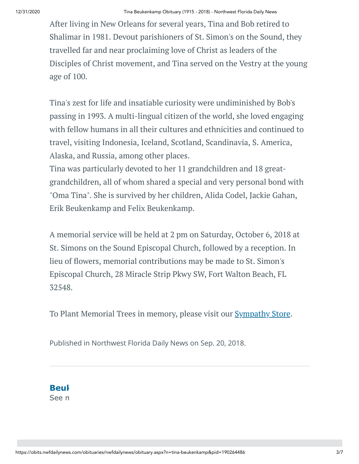After living in New Orleans for several years, Tina and Bob retired to Shalimar in 1981. Devout parishioners of St. Simon's on the Sound, they travelled far and near proclaiming love of Christ as leaders of the Disciples of Christ movement, and Tina served on the Vestry at the young age of 100.

Tina's zest for life and insatiable curiosity were undiminished by Bob's passing in 1993. A multi-lingual citizen of the world, she loved engaging with fellow humans in all their cultures and ethnicities and continued to travel, visiting Indonesia, Iceland, Scotland, Scandinavia, S. America, Alaska, and Russia, among other places.

Tina was particularly devoted to her 11 grandchildren and 18 greatgrandchildren, all of whom shared a special and very personal bond with "Oma Tina". She is survived by her children, Alida Codel, Jackie Gahan, Erik Beukenkamp and Felix Beukenkamp.

A memorial service will be held at 2 pm on Saturday, October 6, 2018 at St. Simons on the Sound Episcopal Church, followed by a reception. In lieu of flowers, memorial contributions may be made to St. Simon's Episcopal Church, 28 Miracle Strip Pkwy SW, Fort Walton Beach, FL 32548.

To Plant Memorial Trees in memory, please visit our **[Sympathy](https://sympathy.legacy.com/en-us/funeral-flowers/name/tina-beukenkamp-funeral-flowers/p190264486/?affiliateId=2195&pm=240) Store**.

Published in Northwest Florida Daily News on Sep. 20, 2018.

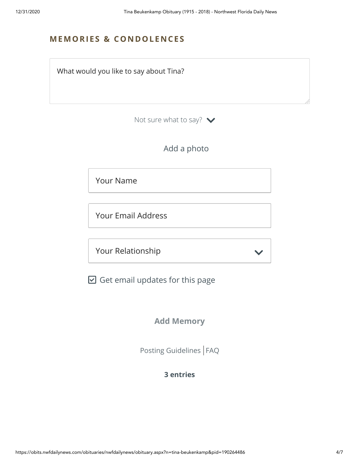# **MEMORIES & CO N DOLE N CES**

What would you like to say about Tina?

Not sure what to say?  $\blacktriangleright$ 

# Add a photo

Your Name

Your Email Address

Your Relationship

 $\boxdot$  Get email updates for this page

**Add Memory**

[Posting Guidelines](https://www.legacy.com/guestbooks/posting-guidelines.aspx?n=Tina-Beukenkamp&pid=190264486) | [FAQ](https://www.legacy.com/guestbooks/faq.aspx?n=Tina-Beukenkamp&pid=190264486)

# **3 entries**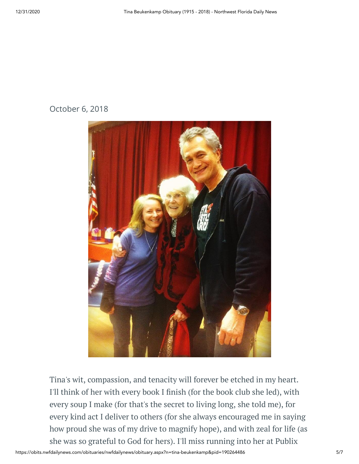# October 6, 2018



Tina's wit, compassion, and tenacity will forever be etched in my heart. I'll think of her with every book I finish (for the book club she led), with every soup I make (for that's the secret to living long, she told me), for every kind act I deliver to others (for she always encouraged me in saying how proud she was of my drive to magnify hope), and with zeal for life (as she was so grateful to God for hers). I'll miss running into her at Publix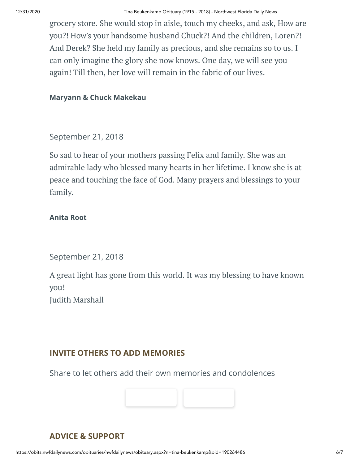grocery store. She would stop in aisle, touch my cheeks, and ask, How are you?! How's your handsome husband Chuck?! And the children, Loren?! And Derek? She held my family as precious, and she remains so to us. I can only imagine the glory she now knows. One day, we will see you again! Till then, her love will remain in the fabric of our lives.

#### **Maryann & Chuck Makekau**

September 21, 2018

So sad to hear of your mothers passing Felix and family. She was an admirable lady who blessed many hearts in her lifetime. I know she is at peace and touching the face of God. Many prayers and blessings to your family.

#### **Anita Root**

September 21, 2018

A great light has gone from this world. It was my blessing to have known you! Judith Marshall

### **INVITE OTHERS TO ADD MEMORIES**

Share to let others add their own memories and condolences



# **ADVICE & SUPPORT**